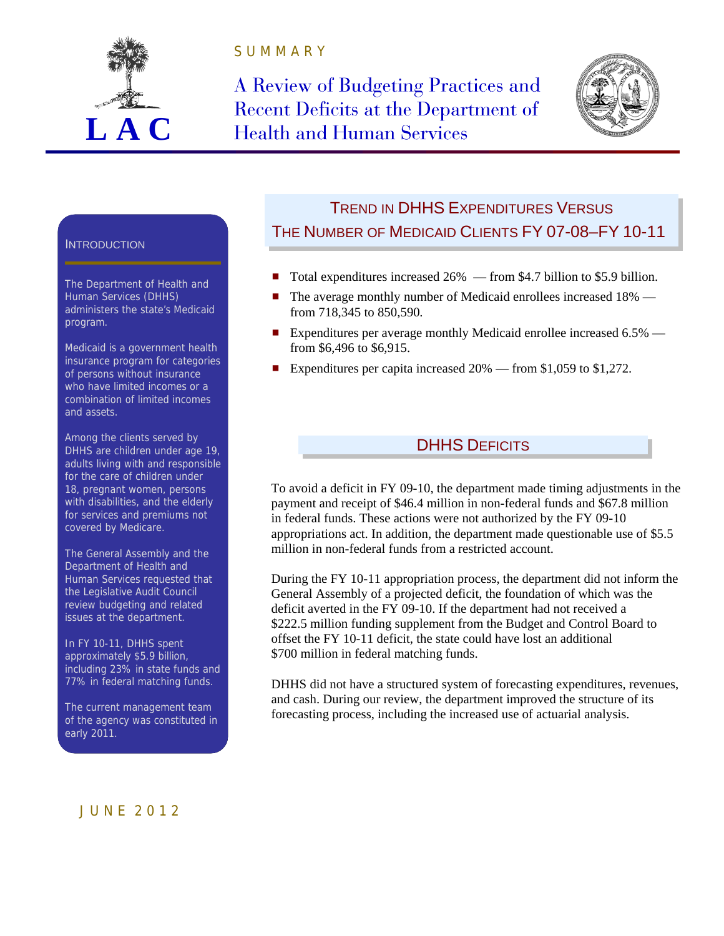

S U M M A R Y

A Review of Budgeting Practices and Recent Deficits at the Department of **Health and Human Services** 



#### **INTRODUCTION**

The Department of Health and Human Services (DHHS) administers the state's Medicaid program.

Medicaid is a government health insurance program for categories of persons without insurance who have limited incomes or a combination of limited incomes and assets.

Among the clients served by DHHS are children under age 19, adults living with and responsible for the care of children under 18, pregnant women, persons with disabilities, and the elderly for services and premiums not covered by Medicare.

The General Assembly and the Department of Health and Human Services requested that the Legislative Audit Council review budgeting and related issues at the department.

In FY 10-11, DHHS spent approximately \$5.9 billion, including 23% in state funds and 77% in federal matching funds.

The current management team of the agency was constituted in early 2011.

# TREND IN DHHS EXPENDITURES VERSUS THE NUMBER OF MEDICAID CLIENTS FY 07-08–FY 10-11

- Total expenditures increased  $26\%$  from \$4.7 billion to \$5.9 billion.
- The average monthly number of Medicaid enrollees increased 18% from 718,345 to 850,590*.*
- Expenditures per average monthly Medicaid enrollee increased  $6.5\%$  from \$6,496 to \$6,915.
- Expenditures per capita increased  $20\%$  from \$1,059 to \$1,272.

# DHHS DEFICITS

To avoid a deficit in FY 09-10, the department made timing adjustments in the payment and receipt of \$46.4 million in non-federal funds and \$67.8 million in federal funds. These actions were not authorized by the FY 09-10 appropriations act. In addition, the department made questionable use of \$5.5 million in non-federal funds from a restricted account.

During the FY 10-11 appropriation process, the department did not inform the General Assembly of a projected deficit, the foundation of which was the deficit averted in the FY 09-10. If the department had not received a \$222.5 million funding supplement from the Budget and Control Board to offset the FY 10-11 deficit, the state could have lost an additional \$700 million in federal matching funds.

DHHS did not have a structured system of forecasting expenditures, revenues, and cash. During our review, the department improved the structure of its forecasting process, including the increased use of actuarial analysis.

### J U N E 2 0 1 2